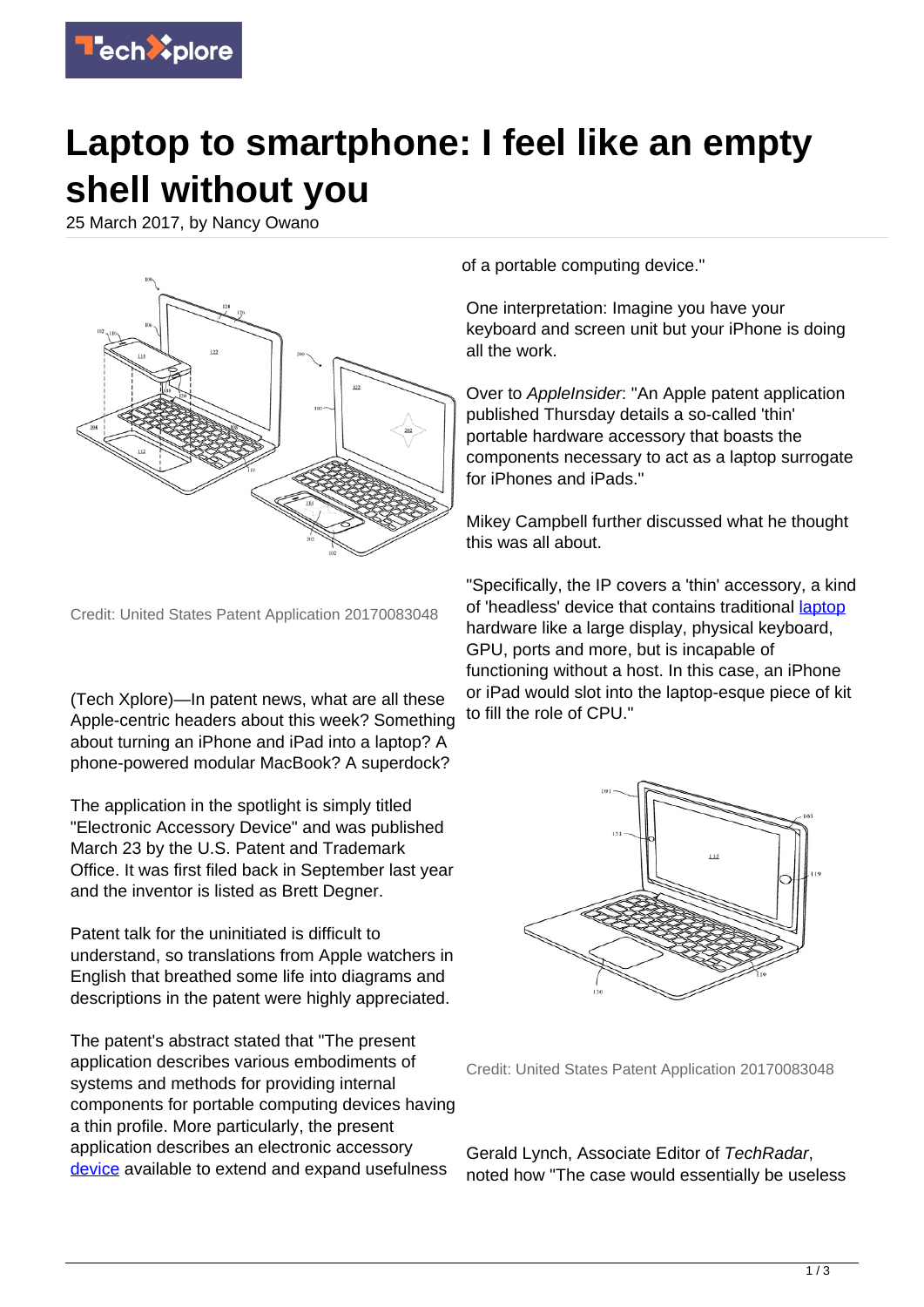

## **Laptop to smartphone: I feel like an empty shell without you**

25 March 2017, by Nancy Owano



Credit: United States Patent Application 20170083048

(Tech Xplore)—In patent news, what are all these Apple-centric headers about this week? Something about turning an iPhone and iPad into a laptop? A phone-powered modular MacBook? A superdock?

The application in the spotlight is simply titled "Electronic Accessory Device" and was published March 23 by the U.S. Patent and Trademark Office. It was first filed back in September last year and the inventor is listed as Brett Degner.

Patent talk for the uninitiated is difficult to understand, so translations from Apple watchers in English that breathed some life into diagrams and descriptions in the patent were highly appreciated.

The patent's abstract stated that "The present application describes various embodiments of systems and methods for providing internal components for portable computing devices having a thin profile. More particularly, the present application describes an electronic accessory [device](https://techxplore.com/tags/device/) available to extend and expand usefulness

of a portable computing device."

One interpretation: Imagine you have your keyboard and screen unit but your iPhone is doing all the work.

Over to AppleInsider: "An Apple patent application published Thursday details a so-called 'thin' portable hardware accessory that boasts the components necessary to act as a laptop surrogate for iPhones and iPads."

Mikey Campbell further discussed what he thought this was all about.

"Specifically, the IP covers a 'thin' accessory, a kind of 'headless' device that contains traditional [laptop](http://appleinsider.com/articles/17/03/23/apple-investigating-accessory-that-turns-iphone-ipad-into-full-fledged-touchscreen-laptop) hardware like a large display, physical keyboard, GPU, ports and more, but is incapable of functioning without a host. In this case, an iPhone or iPad would slot into the laptop-esque piece of kit to fill the role of CPU."



Credit: United States Patent Application 20170083048

Gerald Lynch, Associate Editor of TechRadar, noted how "The case would essentially be useless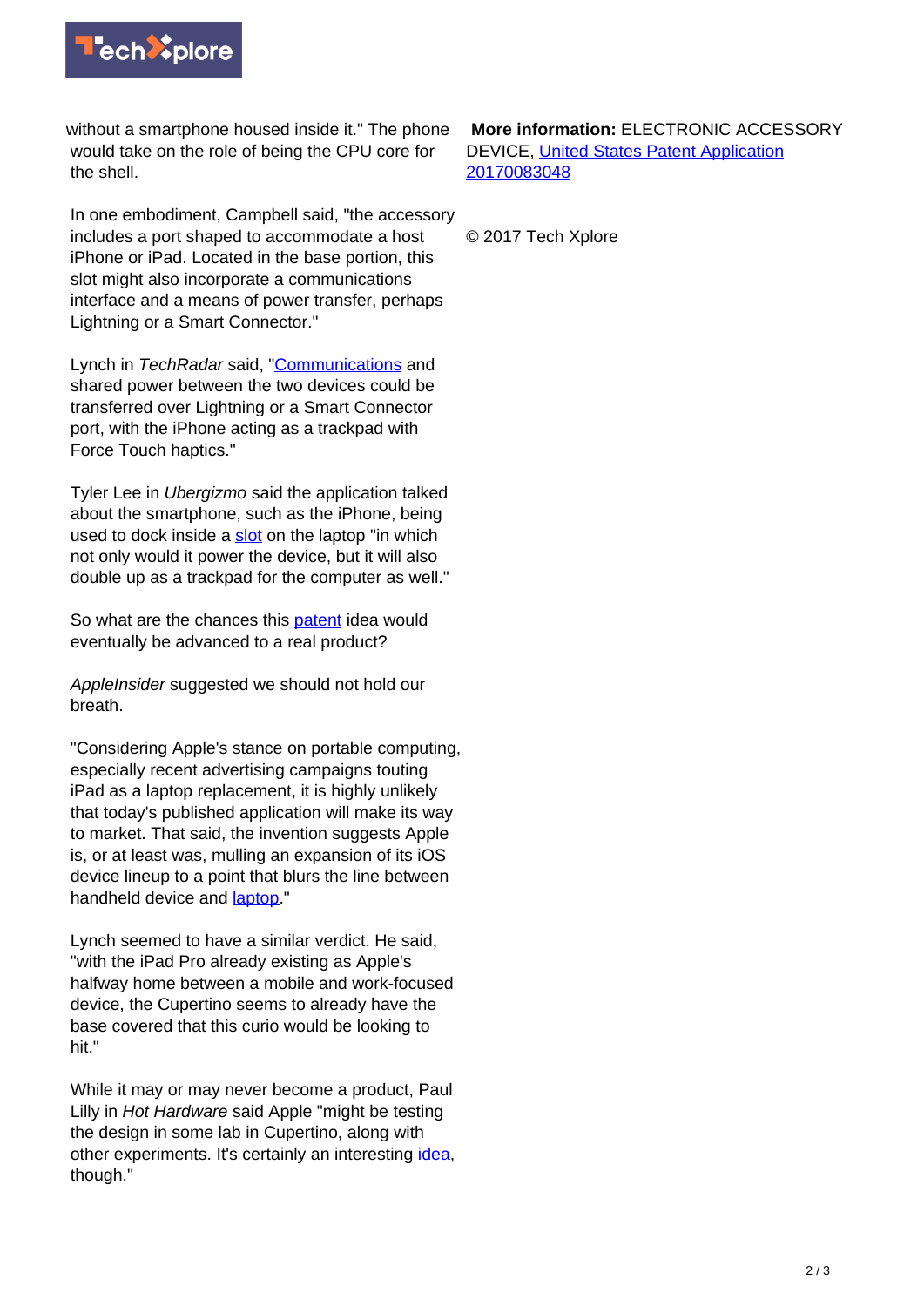

without a smartphone housed inside it." The phone would take on the role of being the CPU core for the shell.

In one embodiment, Campbell said, "the accessory includes a port shaped to accommodate a host iPhone or iPad. Located in the base portion, this slot might also incorporate a communications interface and a means of power transfer, perhaps Lightning or a Smart Connector."

Lynch in TechRadar said, ["Communications](http://www.techradar.com/news/apple-exploring-iphone-powered-modular-macbook) and shared power between the two devices could be transferred over Lightning or a Smart Connector port, with the iPhone acting as a trackpad with Force Touch haptics."

Tyler Lee in Ubergizmo said the application talked about the smartphone, such as the iPhone, being used to dock inside a [slot](http://www.ubergizmo.com/2017/03/apple-smartphone-power-laptop/) on the laptop "in which not only would it power the device, but it will also double up as a trackpad for the computer as well."

So what are the chances this **[patent](https://techxplore.com/tags/patent/)** idea would eventually be advanced to a real product?

AppleInsider suggested we should not hold our breath.

"Considering Apple's stance on portable computing, especially recent advertising campaigns touting iPad as a laptop replacement, it is highly unlikely that today's published application will make its way to market. That said, the invention suggests Apple is, or at least was, mulling an expansion of its iOS device lineup to a point that blurs the line between handheld device and [laptop.](https://techxplore.com/tags/laptop/)"

Lynch seemed to have a similar verdict. He said, "with the iPad Pro already existing as Apple's halfway home between a mobile and work-focused device, the Cupertino seems to already have the base covered that this curio would be looking to hit."

While it may or may never become a product, Paul Lilly in Hot Hardware said Apple "might be testing the design in some lab in Cupertino, along with other experiments. It's certainly an interesting [idea](http://hothardware.com/news/apple-files-patent-for-iphone-to-macbook-laptop-dock-design), though."

 **More information:** ELECTRONIC ACCESSORY DEVICE, [United States Patent Application](http://appft.uspto.gov/netacgi/nph-Parser?Sect1=PTO2&Sect2=HITOFF&u=%2Fnetahtml%2FPTO%2Fsearch-adv.html&r=3292&f=G&l=50&d=PG01&s1=(1%2F1.CCLS.+AND+20170323.PD.)&p=66&OS=ccl/1/1+and+pd/3/23/2017&RS=(CCL/1/1+AND+PD/20170323) [20170083048](http://appft.uspto.gov/netacgi/nph-Parser?Sect1=PTO2&Sect2=HITOFF&u=%2Fnetahtml%2FPTO%2Fsearch-adv.html&r=3292&f=G&l=50&d=PG01&s1=(1%2F1.CCLS.+AND+20170323.PD.)&p=66&OS=ccl/1/1+and+pd/3/23/2017&RS=(CCL/1/1+AND+PD/20170323)

© 2017 Tech Xplore